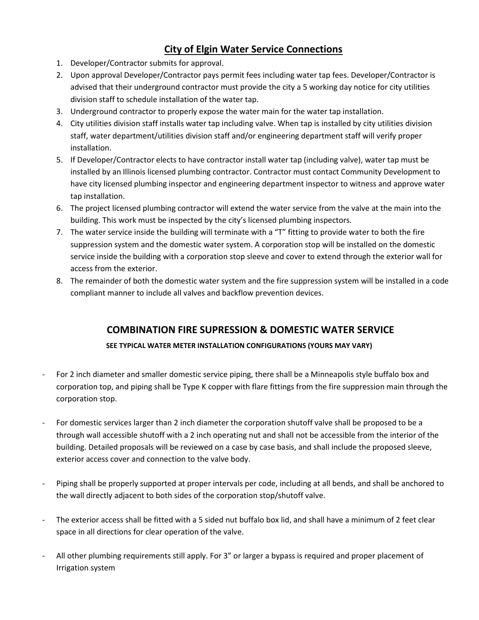## **City of Elgin Water Service Connections**

- 1. Developer/Contractor submits for approval.
- 2. Upon approval Developer/Contractor pays permit fees including water tap fees. Developer/Contractor is advised that their underground contractor must provide the city a 5 working day notice for city utilities division staff to schedule installation of the water tap.
- 3. Underground contractor to properly expose the water main for the water tap installation.
- 4. City utilities division staff installs water tap including valve. When tap is installed by city utilities division staff, water department/utilities division staff and/or engineering department staff will verify proper installation.
- 5. If Developer/Contractor elects to have contractor install water tap (including valve), water tap must be installed by an Illinois licensed plumbing contractor. Contractor must contact Community Development to have city licensed plumbing inspector and engineering department inspector to witness and approve water tap installation.
- 6. The project licensed plumbing contractor will extend the water service from the valve at the main into the building. This work must be inspected by the city's licensed plumbing inspectors.
- 7. The water service inside the building will terminate with a "T" fitting to provide water to both the fire suppression system and the domestic water system. A corporation stop will be installed on the domestic service inside the building with a corporation stop sleeve and cover to extend through the exterior wall for access from the exterior.
- 8. The remainder of both the domestic water system and the fire suppression system will be installed in a code compliant manner to include all valves and backflow prevention devices.

## **COMBINATION FIRE SUPRESSION & DOMESTIC WATER SERVICE**

## **SEE TYPICAL WATER METER INSTALLATION CONFIGURATIONS (YOURS MAY VARY)**

- For 2 inch diameter and smaller domestic service piping, there shall be a Minneapolis style buffalo box and corporation top, and piping shall be Type K copper with flare fittings from the fire suppression main through the corporation stop.
- For domestic services larger than 2 inch diameter the corporation shutoff valve shall be proposed to be a through wall accessible shutoff with a 2 inch operating nut and shall not be accessible from the interior of the building. Detailed proposals will be reviewed on a case by case basis, and shall include the proposed sleeve, exterior access cover and connection to the valve body.
- Piping shall be properly supported at proper intervals per code, including at all bends, and shall be anchored to the wall directly adjacent to both sides of the corporation stop/shutoff valve.
- The exterior access shall be fitted with a 5 sided nut buffalo box lid, and shall have a minimum of 2 feet clear space in all directions for clear operation of the valve.
- All other plumbing requirements still apply. For 3" or larger a bypass is required and proper placement of Irrigation system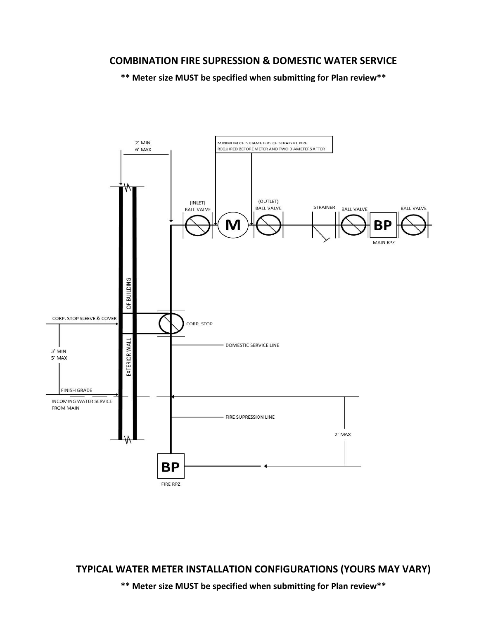## **COMBINATION FIRE SUPRESSION & DOMESTIC WATER SERVICE**

**\*\* Meter size MUST be specified when submitting for Plan review\*\***



**TYPICAL WATER METER INSTALLATION CONFIGURATIONS (YOURS MAY VARY)**

**\*\* Meter size MUST be specified when submitting for Plan review\*\***